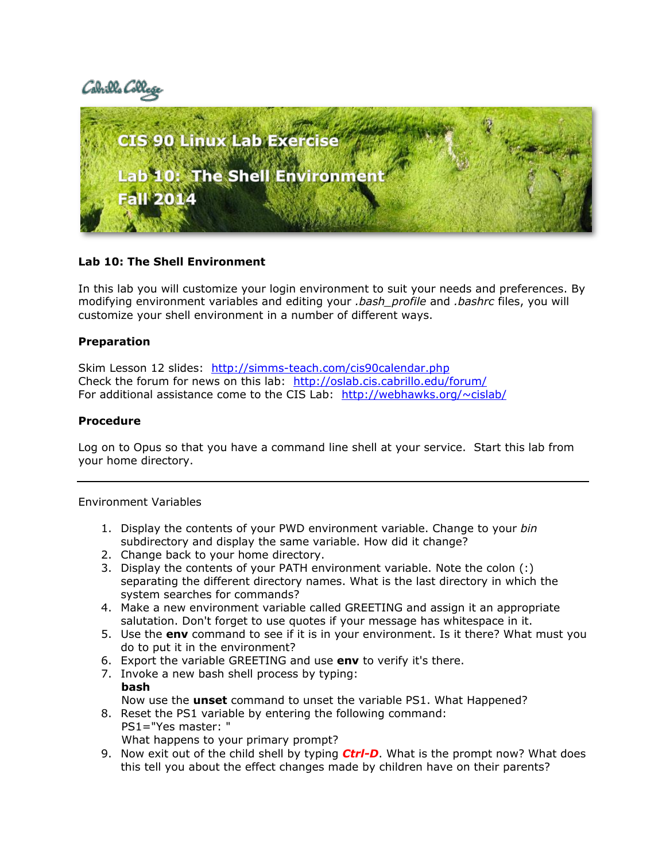Cabrills Coll



# **Lab 10: The Shell Environment**

In this lab you will customize your login environment to suit your needs and preferences. By modifying environment variables and editing your *.bash\_profile* and *.bashrc* files, you will customize your shell environment in a number of different ways.

# **Preparation**

Skim Lesson 12 slides: http://simms-teach.com/cis90calendar.php Check the forum for news on this lab: <http://oslab.cis.cabrillo.edu/forum/> For additional assistance come to the CIS Lab: <http://webhawks.org/~cislab/>

# **Procedure**

Log on to Opus so that you have a command line shell at your service. Start this lab from your home directory.

### Environment Variables

- 1. Display the contents of your PWD environment variable. Change to your *bin* subdirectory and display the same variable. How did it change?
- 2. Change back to your home directory.
- 3. Display the contents of your PATH environment variable. Note the colon (:) separating the different directory names. What is the last directory in which the system searches for commands?
- 4. Make a new environment variable called GREETING and assign it an appropriate salutation. Don't forget to use quotes if your message has whitespace in it.
- 5. Use the **env** command to see if it is in your environment. Is it there? What must you do to put it in the environment?
- 6. Export the variable GREETING and use **env** to verify it's there.
- 7. Invoke a new bash shell process by typing: **bash** Now use the **unset** command to unset the variable PS1. What Happened?
- 8. Reset the PS1 variable by entering the following command: PS1="Yes master: "

What happens to your primary prompt?

9. Now exit out of the child shell by typing *Ctrl-D*. What is the prompt now? What does this tell you about the effect changes made by children have on their parents?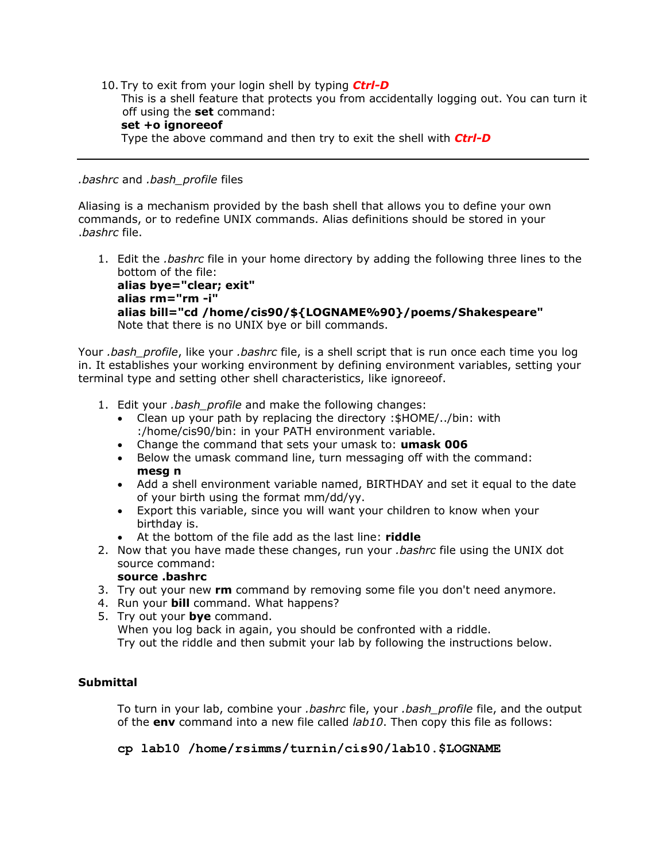10. Try to exit from your login shell by typing *Ctrl-D* This is a shell feature that protects you from accidentally logging out. You can turn it off using the **set** command: **set +o ignoreeof**

Type the above command and then try to exit the shell with *Ctrl-D*

#### *.bashrc* and *.bash\_profile* files

Aliasing is a mechanism provided by the bash shell that allows you to define your own commands, or to redefine UNIX commands. Alias definitions should be stored in your .*bashrc* file.

1. Edit the *.bashrc* file in your home directory by adding the following three lines to the bottom of the file:

**alias bye="clear; exit" alias rm="rm -i" alias bill="cd /home/cis90/\${LOGNAME%90}/poems/Shakespeare"** Note that there is no UNIX bye or bill commands.

Your *.bash\_profile*, like your *.bashrc* file, is a shell script that is run once each time you log in. It establishes your working environment by defining environment variables, setting your terminal type and setting other shell characteristics, like ignoreeof.

- 1. Edit your *.bash\_profile* and make the following changes:
	- Clean up your path by replacing the directory :\$HOME/../bin: with :/home/cis90/bin: in your PATH environment variable.
	- Change the command that sets your umask to: **umask 006**
	- Below the umask command line, turn messaging off with the command: **mesg n**
	- Add a shell environment variable named, BIRTHDAY and set it equal to the date of your birth using the format mm/dd/yy.
	- Export this variable, since you will want your children to know when your birthday is.
		- At the bottom of the file add as the last line: **riddle**
- 2. Now that you have made these changes, run your *.bashrc* file using the UNIX dot source command:

## **source .bashrc**

- 3. Try out your new **rm** command by removing some file you don't need anymore.
- 4. Run your **bill** command. What happens?
- 5. Try out your **bye** command. When you log back in again, you should be confronted with a riddle. Try out the riddle and then submit your lab by following the instructions below.

## **Submittal**

To turn in your lab, combine your *.bashrc* file, your *.bash\_profile* file, and the output of the **env** command into a new file called *lab10*. Then copy this file as follows:

**cp lab10 /home/rsimms/turnin/cis90/lab10.\$LOGNAME**